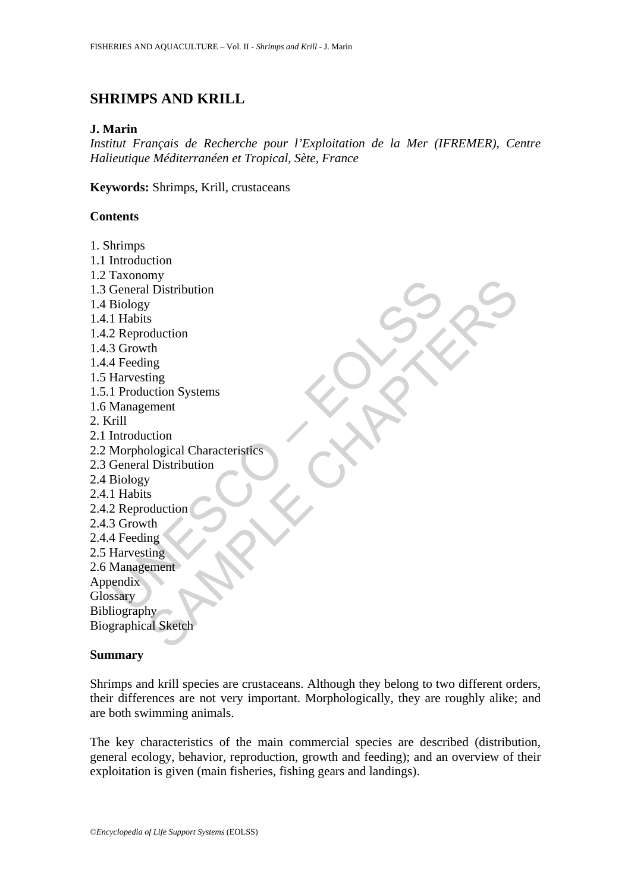# **SHRIMPS AND KRILL**

### **J. Marin**

*Institut Français de Recherche pour l'Exploitation de la Mer (IFREMER), Centre Halieutique Méditerranéen et Tropical, Sète, France* 

**Keywords:** Shrimps, Krill, crustaceans

# **Contents**

Tanamary<br>Ceneral Distribution<br>Biology<br>1 Habits<br>2 Reproduction<br>4 Feeding<br>Harvesting<br>Introduction<br>Morphological Characteristics<br>Management<br>Management<br>Elendrich State (Seneral Distribution<br>Biology<br>1 Habits<br>2 Reproduction<br>Harv hy<br>the minimigradian<br>th magnetic control and the minimigradian of the minimigradian of the minimigradian of the minimigradian of the minimigradian of the minimigradian of the minimigradian of the minimigradian of the minim 1. Shrimps 1.1 Introduction 1.2 Taxonomy 1.3 General Distribution 1.4 Biology 1.4.1 Habits 1.4.2 Reproduction 1.4.3 Growth 1.4.4 Feeding 1.5 Harvesting 1.5.1 Production Systems 1.6 Management 2. Krill 2.1 Introduction 2.2 Morphological Characteristics 2.3 General Distribution 2.4 Biology 2.4.1 Habits 2.4.2 Reproduction 2.4.3 Growth 2.4.4 Feeding 2.5 Harvesting 2.6 Management Appendix **Glossary Bibliography** Biographical Sketch

#### **Summary**

Shrimps and krill species are crustaceans. Although they belong to two different orders, their differences are not very important. Morphologically, they are roughly alike; and are both swimming animals.

The key characteristics of the main commercial species are described (distribution, general ecology, behavior, reproduction, growth and feeding); and an overview of their exploitation is given (main fisheries, fishing gears and landings).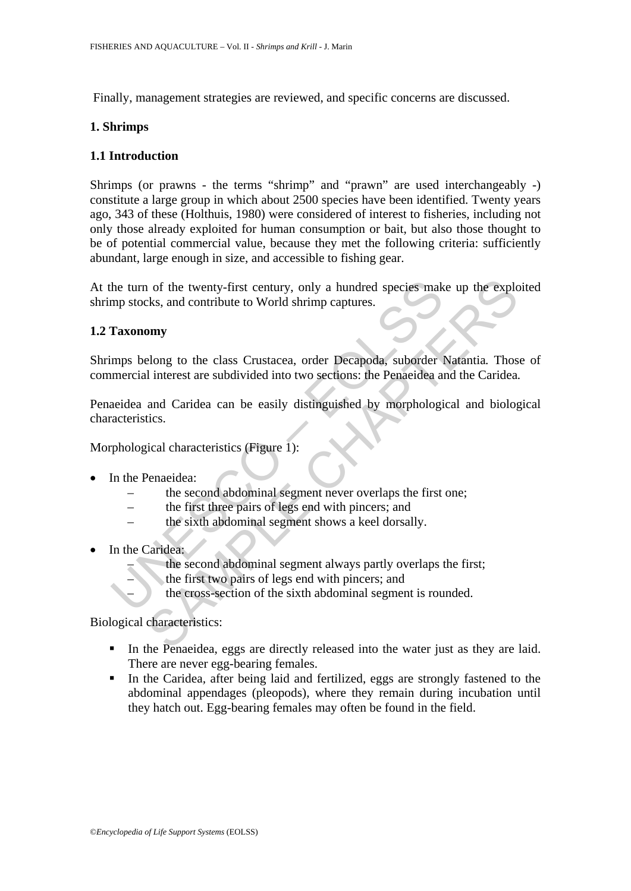Finally, management strategies are reviewed, and specific concerns are discussed.

# **1. Shrimps**

# **1.1 Introduction**

Shrimps (or prawns - the terms "shrimp" and "prawn" are used interchangeably -) constitute a large group in which about 2500 species have been identified. Twenty years ago, 343 of these (Holthuis, 1980) were considered of interest to fisheries, including not only those already exploited for human consumption or bait, but also those thought to be of potential commercial value, because they met the following criteria: sufficiently abundant, large enough in size, and accessible to fishing gear.

At the turn of the twenty-first century, only a hundred species make up the exploited shrimp stocks, and contribute to World shrimp captures.

### **1.2 Taxonomy**

Shrimps belong to the class Crustacea, order Decapoda, suborder Natantia*.* Those of commercial interest are subdivided into two sections: the Penaeidea and the Caridea*.*

the turn of the twenty-first century, only a hundred species make<br>the turn of the twenty-first century, only a hundred species make<br>Taxonomy<br>mps belong to the class Crustacea, order Decapoda, suborder l<br>mercial interest ar The twenty-first century, only a hundred species make up the explometric texts, and contribute to World shrimp captures.<br> **SAMPLE CHAPTERS**<br> **SAMPLE CHAPTERS**<br> **SAMPLE CHAPTE CHAPTE CHAPTE CHAPTE CHAPTE CHAPTE CHAPTE CHAPT** Penaeidea and Caridea can be easily distinguished by morphological and biological characteristics.

Morphological characteristics (Figure 1):

- In the Penaeidea:
	- the second abdominal segment never overlaps the first one;
	- the first three pairs of legs end with pincers; and
	- the sixth abdominal segment shows a keel dorsally.
- In the Caridea:
	- the second abdominal segment always partly overlaps the first;
	- the first two pairs of legs end with pincers; and
	- the cross-section of the sixth abdominal segment is rounded.

Biological characteristics:

- In the Penaeidea, eggs are directly released into the water just as they are laid. There are never egg-bearing females.
- In the Caridea, after being laid and fertilized, eggs are strongly fastened to the abdominal appendages (pleopods), where they remain during incubation until they hatch out. Egg-bearing females may often be found in the field.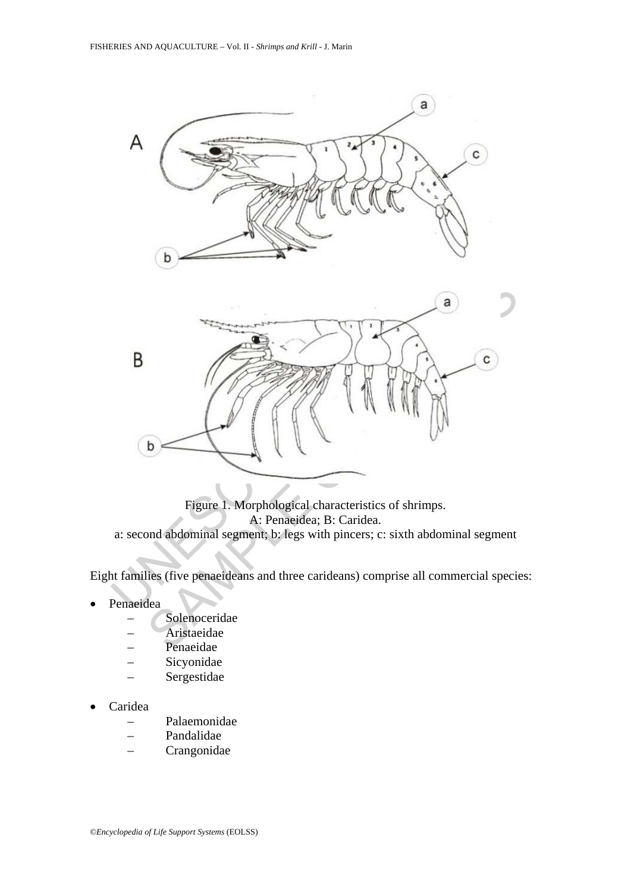

Figure 1. Morphological characteristics of shrimps. A: Penaeidea; B: Caridea. a: second abdominal segment; b: legs with pincers; c: sixth abdominal segment

Eight families (five penaeideans and three carideans) comprise all commercial species:

- **Penaeidea** 
	- **Solenoceridae**
	- Aristaeidae
	- Penaeidae
	- Sicyonidae
	- Sergestidae
- Caridea
	- Palaemonidae
	- Pandalidae
	- Crangonidae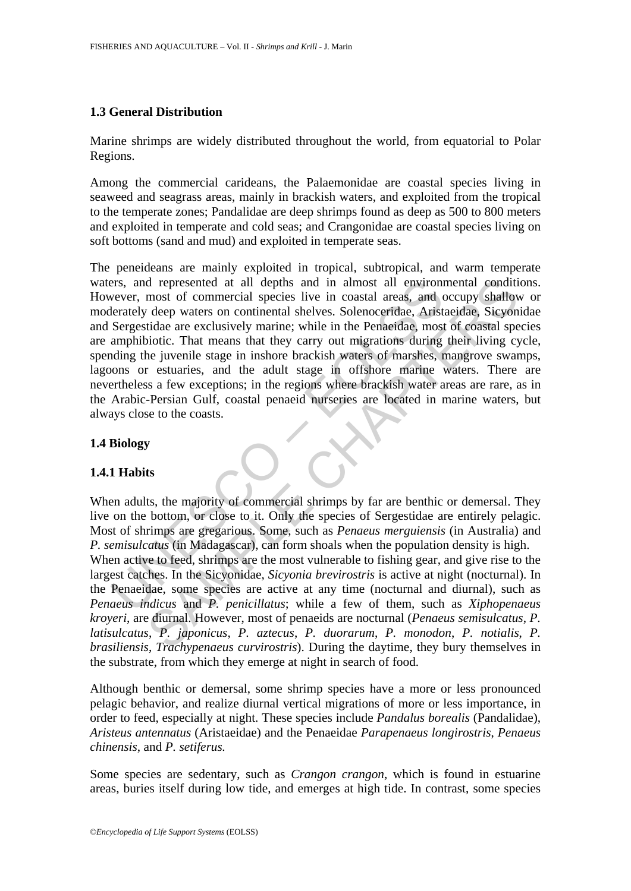# **1.3 General Distribution**

Marine shrimps are widely distributed throughout the world, from equatorial to Polar Regions.

Among the commercial carideans, the Palaemonidae are coastal species living in seaweed and seagrass areas, mainly in brackish waters, and exploited from the tropical to the temperate zones; Pandalidae are deep shrimps found as deep as 500 to 800 meters and exploited in temperate and cold seas; and Crangonidae are coastal species living on soft bottoms (sand and mud) and exploited in temperate seas.

From the presented at all depths and in almost all environn<br>
the everet, most of commercial species live in coastal areas, and e<br>
the Sergestidae are exclusively marine; while in the Penaeidae, Arist<br>
Sergestidae are exclu The peneideans are mainly exploited in tropical, subtropical, and warm temperate waters, and represented at all depths and in almost all environmental conditions. However, most of commercial species live in coastal areas, and occupy shallow or moderately deep waters on continental shelves. Solenoceridae, Aristaeidae, Sicyonidae and Sergestidae are exclusively marine; while in the Penaeidae, most of coastal species are amphibiotic. That means that they carry out migrations during their living cycle, spending the juvenile stage in inshore brackish waters of marshes, mangrove swamps, lagoons or estuaries, and the adult stage in offshore marine waters. There are nevertheless a few exceptions; in the regions where brackish water areas are rare, as in the Arabic-Persian Gulf, coastal penaeid nurseries are located in marine waters, but always close to the coasts.

# **1.4 Biology**

# **1.4.1 Habits**

d represented at all depths and in almost all environmental conditions<br>
most of commercial species live in coastal areas, and occupy shall<br>
or deep waters on continental shelves. Solenocerdae, Aristaeidae, Sicyon<br>
tidae ar When adults, the majority of commercial shrimps by far are benthic or demersal. They live on the bottom, or close to it. Only the species of Sergestidae are entirely pelagic. Most of shrimps are gregarious. Some, such as *Penaeus merguiensis* (in Australia) and *P. semisulcatus* (in Madagascar), can form shoals when the population density is high. When active to feed, shrimps are the most vulnerable to fishing gear, and give rise to the largest catches. In the Sicyonidae, *Sicyonia brevirostris* is active at night (nocturnal). In the Penaeidae, some species are active at any time (nocturnal and diurnal), such as *Penaeus indicus* and *P. penicillatus*; while a few of them, such as *Xiphopenaeus kroyeri*, are diurnal. However, most of penaeids are nocturnal (*Penaeus semisulcatus*, *P. latisulcatus*, *P. japonicus*, *P. aztecus*, *P. duorarum*, *P. monodon*, *P. notialis*, *P. brasiliensis*, *Trachypenaeus curvirostris*). During the daytime, they bury themselves in the substrate, from which they emerge at night in search of food.

Although benthic or demersal, some shrimp species have a more or less pronounced pelagic behavior, and realize diurnal vertical migrations of more or less importance, in order to feed, especially at night. These species include *Pandalus borealis* (Pandalidae), *Aristeus antennatus* (Aristaeidae) and the Penaeidae *Parapenaeus longirostris*, *Penaeus chinensis*, and *P. setiferus.* 

Some species are sedentary, such as *Crangon crangon*, which is found in estuarine areas, buries itself during low tide, and emerges at high tide. In contrast, some species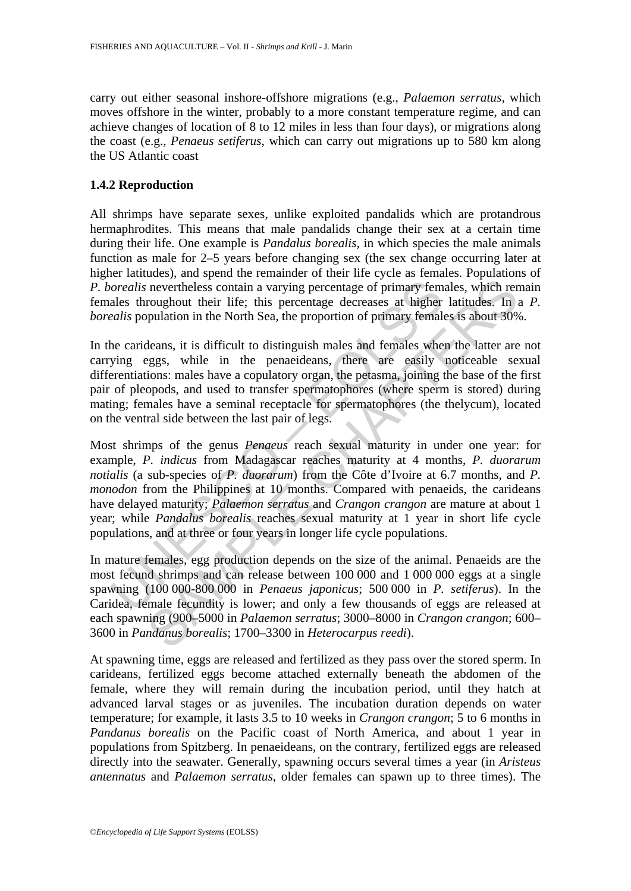carry out either seasonal inshore-offshore migrations (e.g., *Palaemon serratus,* which moves offshore in the winter, probably to a more constant temperature regime, and can achieve changes of location of 8 to 12 miles in less than four days), or migrations along the coast (e.g., *Penaeus setiferus*, which can carry out migrations up to 580 km along the US Atlantic coast

# **1.4.2 Reproduction**

All shrimps have separate sexes, unlike exploited pandalids which are protandrous hermaphrodites. This means that male pandalids change their sex at a certain time during their life. One example is *Pandalus borealis*, in which species the male animals function as male for 2–5 years before changing sex (the sex change occurring later at higher latitudes), and spend the remainder of their life cycle as females. Populations of *P. borealis* nevertheless contain a varying percentage of primary females, which remain females throughout their life; this percentage decreases at higher latitudes. In a *P. borealis* population in the North Sea, the proportion of primary females is about 30%.

In the carideans, it is difficult to distinguish males and females when the latter are not carrying eggs, while in the penaeideans, there are easily noticeable sexual differentiations: males have a copulatory organ, the petasma, joining the base of the first pair of pleopods, and used to transfer spermatophores (where sperm is stored) during mating; females have a seminal receptacle for spermatophores (the thelycum), located on the ventral side between the last pair of legs.

*orealis* nevertheless contain a varying percentage of primary females throughout their life; this percentage decreases at higher *ealis* population in the North Sea, the proportion of primary females whe carideans, it is nevertheless contain a varying percentage of primary females, which reroughout their life; this percentage decreases at higher latitudes. In a population in the North Sea, the proportion of primary females is about 30% de Most shrimps of the genus *Penaeus* reach sexual maturity in under one year: for example, *P. indicus* from Madagascar reaches maturity at 4 months, *P. duorarum notialis* (a sub-species of *P. duorarum*) from the Côte d'Ivoire at 6.7 months, and *P. monodon* from the Philippines at 10 months. Compared with penaeids, the carideans have delayed maturity; *Palaemon serratus* and *Crangon crangon* are mature at about 1 year; while *Pandalus borealis* reaches sexual maturity at 1 year in short life cycle populations, and at three or four years in longer life cycle populations.

In mature females, egg production depends on the size of the animal. Penaeids are the most fecund shrimps and can release between 100 000 and 1 000 000 eggs at a single spawning (100 000-800 000 in *Penaeus japonicus*; 500 000 in *P. setiferus*). In the Caridea, female fecundity is lower; and only a few thousands of eggs are released at each spawning (900–5000 in *Palaemon serratus*; 3000–8000 in *Crangon crangon*; 600– 3600 in *Pandanus borealis*; 1700–3300 in *Heterocarpus reedi*).

At spawning time, eggs are released and fertilized as they pass over the stored sperm. In carideans, fertilized eggs become attached externally beneath the abdomen of the female, where they will remain during the incubation period, until they hatch at advanced larval stages or as juveniles. The incubation duration depends on water temperature; for example, it lasts 3.5 to 10 weeks in *Crangon crangon*; 5 to 6 months in *Pandanus borealis* on the Pacific coast of North America, and about 1 year in populations from Spitzberg. In penaeideans, on the contrary, fertilized eggs are released directly into the seawater. Generally, spawning occurs several times a year (in *Aristeus antennatus* and *Palaemon serratus*, older females can spawn up to three times). The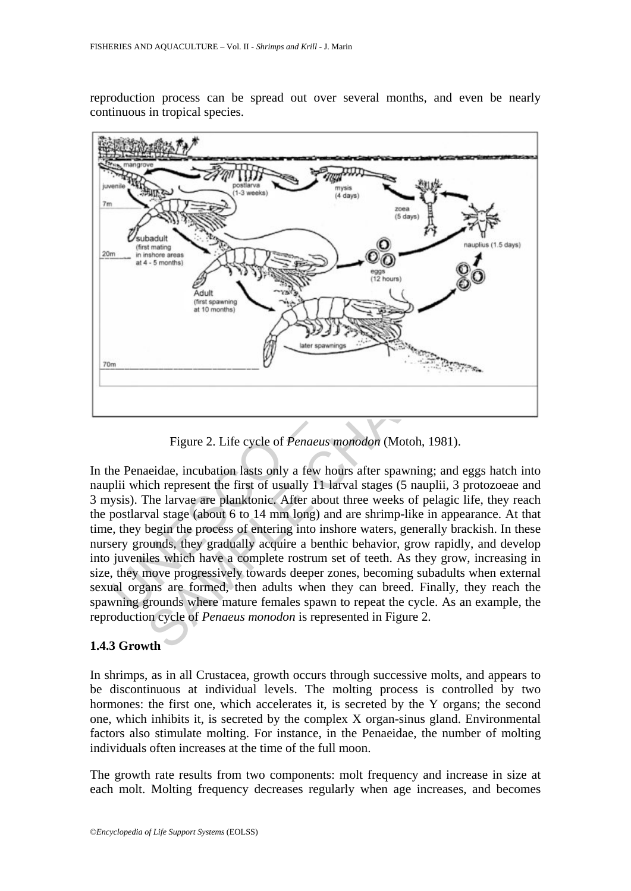reproduction process can be spread out over several months, and even be nearly continuous in tropical species.



Figure 2. Life cycle of *Penaeus monodon* (Motoh, 1981).

Figure 2. Life cycle of *Penaeus monodon* (Motoh, 1981).<br>
The distribution and at the monomed of  $\overline{B}$  and experiment the first of usually 11 larval stages (5 nauplii, 3 protozoeae The larvae are planktonic. After abou In the Penaeidae, incubation lasts only a few hours after spawning; and eggs hatch into nauplii which represent the first of usually 11 larval stages (5 nauplii, 3 protozoeae and 3 mysis). The larvae are planktonic. After about three weeks of pelagic life, they reach the postlarval stage (about 6 to 14 mm long) and are shrimp-like in appearance. At that time, they begin the process of entering into inshore waters, generally brackish. In these nursery grounds, they gradually acquire a benthic behavior, grow rapidly, and develop into juveniles which have a complete rostrum set of teeth. As they grow, increasing in size, they move progressively towards deeper zones, becoming subadults when external sexual organs are formed, then adults when they can breed. Finally, they reach the spawning grounds where mature females spawn to repeat the cycle. As an example, the reproduction cycle of *Penaeus monodon* is represented in Figure 2.

# **1.4.3 Growth**

In shrimps, as in all Crustacea, growth occurs through successive molts, and appears to be discontinuous at individual levels. The molting process is controlled by two hormones: the first one, which accelerates it, is secreted by the Y organs; the second one, which inhibits it, is secreted by the complex X organ-sinus gland. Environmental factors also stimulate molting. For instance, in the Penaeidae, the number of molting individuals often increases at the time of the full moon.

The growth rate results from two components: molt frequency and increase in size at each molt. Molting frequency decreases regularly when age increases, and becomes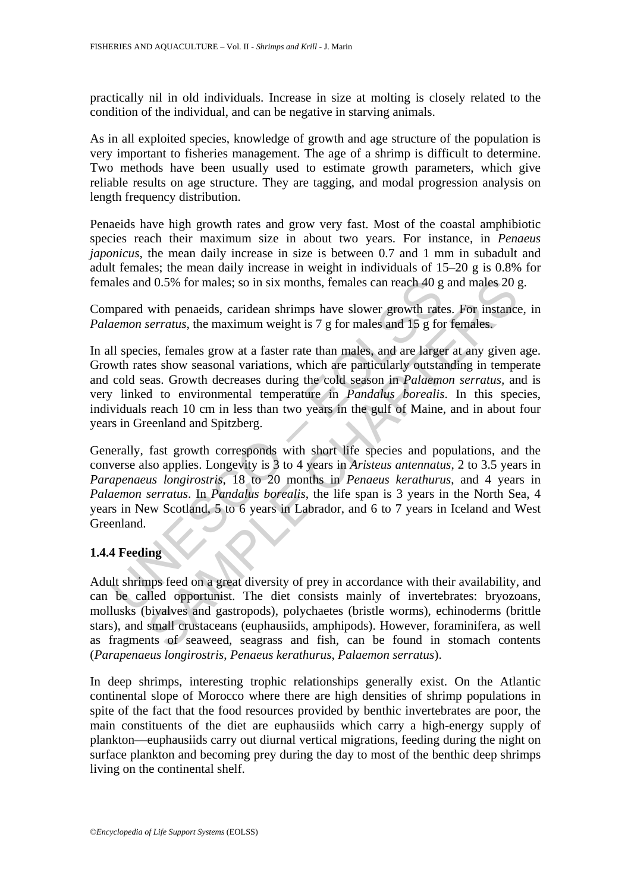practically nil in old individuals. Increase in size at molting is closely related to the condition of the individual, and can be negative in starving animals.

As in all exploited species, knowledge of growth and age structure of the population is very important to fisheries management. The age of a shrimp is difficult to determine. Two methods have been usually used to estimate growth parameters, which give reliable results on age structure. They are tagging, and modal progression analysis on length frequency distribution.

Penaeids have high growth rates and grow very fast. Most of the coastal amphibiotic species reach their maximum size in about two years. For instance, in *Penaeus japonicus*, the mean daily increase in size is between 0.7 and 1 mm in subadult and adult females; the mean daily increase in weight in individuals of 15–20 g is 0.8% for females and 0.5% for males; so in six months, females can reach 40 g and males 20 g.

Compared with penaeids, caridean shrimps have slower growth rates. For instance, in *Palaemon serratus*, the maximum weight is 7 g for males and 15 g for females.

ales and 0.5% for males; so in six months, females can reach 40 g<br>apared with penaeids, caridean shrimps have slower growth rate<br>*nemon serratus*, the maximum weight is 7 g for males and 15 g for<br>all species, females grow d 0.5% for males; so in six months, females can reach 40 g and males 20 g<br>with penaeids, caridean shrimps have slower growth rates. For instance<br>*serratus*, the maximum weight is 7 g for males and 15 g for females.<br>es, fem In all species, females grow at a faster rate than males, and are larger at any given age. Growth rates show seasonal variations, which are particularly outstanding in temperate and cold seas. Growth decreases during the cold season in *Palaemon serratus,* and is very linked to environmental temperature in *Pandalus borealis*. In this species, individuals reach 10 cm in less than two years in the gulf of Maine, and in about four years in Greenland and Spitzberg.

Generally, fast growth corresponds with short life species and populations, and the converse also applies. Longevity is 3 to 4 years in *Aristeus antennatus*, 2 to 3.5 years in *Parapenaeus longirostris*, 18 to 20 months in *Penaeus kerathurus*, and 4 years in *Palaemon serratus*. In *Pandalus borealis*, the life span is 3 years in the North Sea, 4 years in New Scotland, 5 to 6 years in Labrador, and 6 to 7 years in Iceland and West Greenland.

# **1.4.4 Feeding**

Adult shrimps feed on a great diversity of prey in accordance with their availability, and can be called opportunist. The diet consists mainly of invertebrates: bryozoans, mollusks (bivalves and gastropods), polychaetes (bristle worms), echinoderms (brittle stars), and small crustaceans (euphausiids, amphipods). However, foraminifera, as well as fragments of seaweed, seagrass and fish, can be found in stomach contents (*Parapenaeus longirostris*, *Penaeus kerathurus*, *Palaemon serratus*).

In deep shrimps, interesting trophic relationships generally exist. On the Atlantic continental slope of Morocco where there are high densities of shrimp populations in spite of the fact that the food resources provided by benthic invertebrates are poor, the main constituents of the diet are euphausiids which carry a high-energy supply of plankton—euphausiids carry out diurnal vertical migrations, feeding during the night on surface plankton and becoming prey during the day to most of the benthic deep shrimps living on the continental shelf.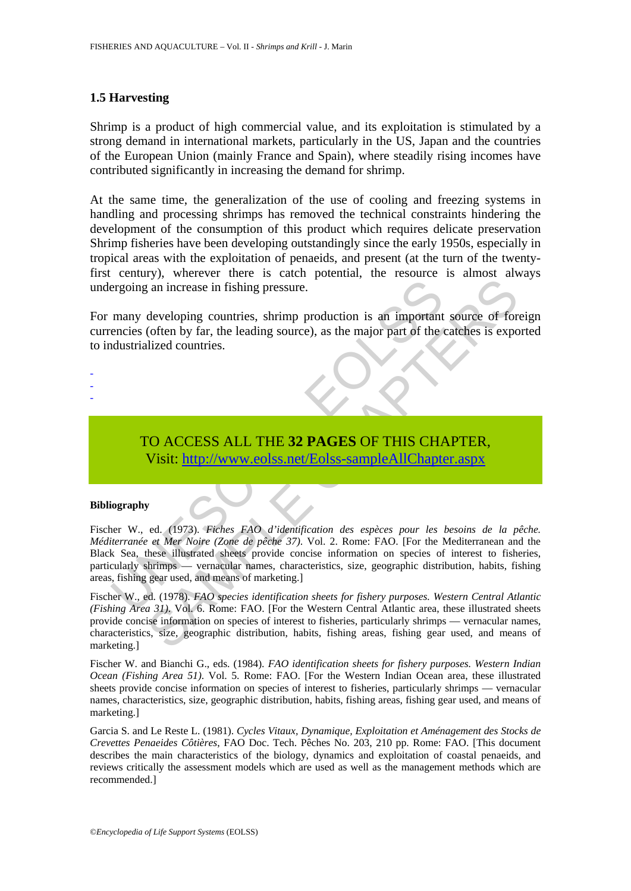# **1.5 Harvesting**

Shrimp is a product of high commercial value, and its exploitation is stimulated by a strong demand in international markets, particularly in the US, Japan and the countries of the European Union (mainly France and Spain), where steadily rising incomes have contributed significantly in increasing the demand for shrimp.

At the same time, the generalization of the use of cooling and freezing systems in handling and processing shrimps has removed the technical constraints hindering the development of the consumption of this product which requires delicate preservation Shrimp fisheries have been developing outstandingly since the early 1950s, especially in tropical areas with the exploitation of penaeids, and present (at the turn of the twentyfirst century), wherever there is catch potential, the resource is almost always undergoing an increase in fishing pressure.

For many developing countries, shrimp production is an important source of foreign currencies (often by far, the leading source), as the major part of the catches is exported to industrialized countries.

- -
- -
- TO ACCESS ALL THE **32 PAGES** OF THIS CHAPTER,

Visit: http://www.eolss.net/Eolss-sampleAllChapter.aspx

#### **Bibliography**

ergoing an increase in fishing pressure.<br>
many developing countries, shrimp production is an important<br>
encies (often by far, the leading source), as the major part of the industrialized countries.<br>
TO ACCESS ALL THE 32 PA and increase in fishing pressure.<br>
are an increase in fishing pressure.<br>
developing countries, shrimp production is an important source of for<br>
(often by far, the leading source), as the major part of the cateless is expec Fischer W., ed. (1973). *Fiches FAO d'identification des espèces pour les besoins de la pêche. Méditerranée et Mer Noire (Zone de pêche 37)*. Vol. 2. Rome: FAO. [For the Mediterranean and the Black Sea, these illustrated sheets provide concise information on species of interest to fisheries, particularly shrimps — vernacular names, characteristics, size, geographic distribution, habits, fishing areas, fishing gear used, and means of marketing.]

Fischer W., ed. (1978). *FAO species identification sheets for fishery purposes. Western Central Atlantic (Fishing Area 31)*. Vol. 6. Rome: FAO. [For the Western Central Atlantic area, these illustrated sheets provide concise information on species of interest to fisheries, particularly shrimps — vernacular names, characteristics, size, geographic distribution, habits, fishing areas, fishing gear used, and means of marketing.]

Fischer W. and Bianchi G., eds. (1984). *FAO identification sheets for fishery purposes. Western Indian Ocean (Fishing Area 51)*. Vol. 5. Rome: FAO. [For the Western Indian Ocean area, these illustrated sheets provide concise information on species of interest to fisheries, particularly shrimps — vernacular names, characteristics, size, geographic distribution, habits, fishing areas, fishing gear used, and means of marketing.]

Garcia S. and Le Reste L. (1981). *Cycles Vitaux, Dynamique, Exploitation et Aménagement des Stocks de Crevettes Penaeides Côtières*, FAO Doc. Tech. Pêches No. 203, 210 pp. Rome: FAO. [This document describes the main characteristics of the biology, dynamics and exploitation of coastal penaeids, and reviews critically the assessment models which are used as well as the management methods which are recommended.]